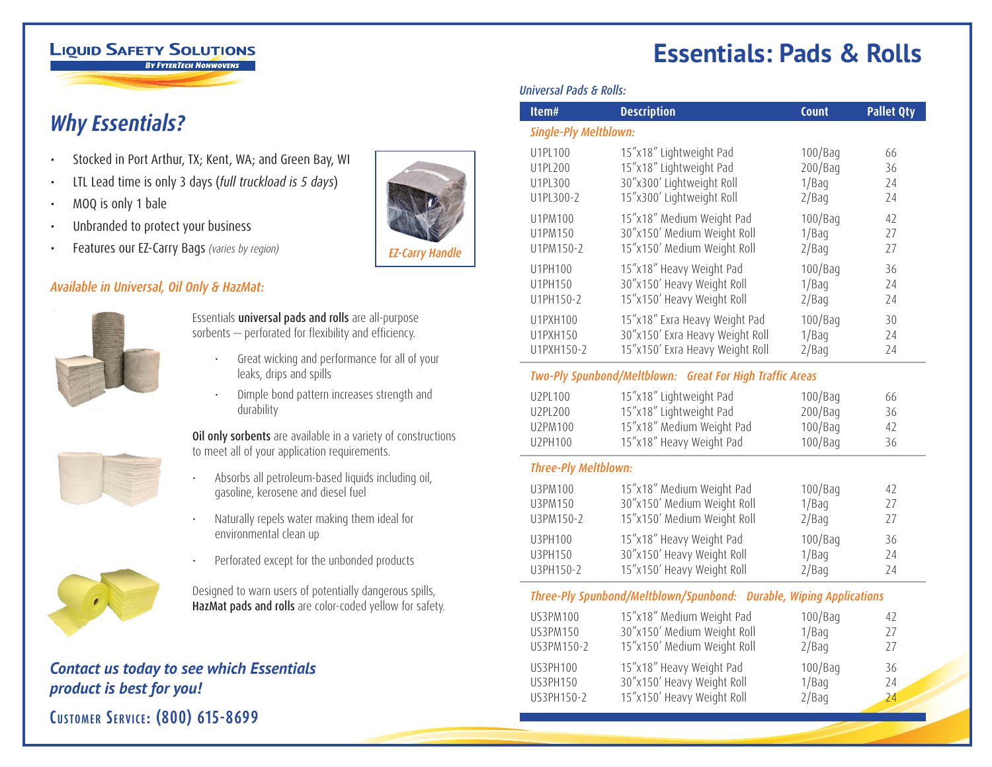#### **LIQUID SAFETY SOLUTIONS BY FYTERTECH NONWOVENS**

**Why Essentials?** 

- Stocked in Port Arthur, TX; Kent, WA; and Green Bay, WI
- LTL Lead time is only 3 days (*full truckload is 5 days*)
- MOQ is only 1 bale
- Unbranded to protect your business
- Features our EZ-Carry Bags *(varies by region)*

## *Available in Universal, Oil Only & HazMat:*



Essentials universal pads and rolls are all-purpose sorbents — perforated for flexibility and efficiency.

- Great wicking and performance for all of your leaks, drips and spills
- Dimple bond pattern increases strength and durability

Oil only sorbents are available in a variety of constructions to meet all of your application requirements.

- Absorbs all petroleum-based liquids including oil, gasoline, kerosene and diesel fuel
- Naturally repels water making them ideal for environmental clean up



• Perforated except for the unbonded products

Designed to warn users of potentially dangerous spills, HazMat pads and rolls are color-coded yellow for safety.

## *Contact us today to see which Essentials product is best for you!*

**Customer Servi c e: (800) 615-8699**



# **Essentials: Pads & Rolls**

#### *Universal Pads & Rolls:*

| Item#                                                               | <b>Description</b>              | Count      | <b>Pallet Qty</b> |  |
|---------------------------------------------------------------------|---------------------------------|------------|-------------------|--|
| Single-Ply Meltblown:                                               |                                 |            |                   |  |
| U1PL100                                                             | 15"x18" Lightweight Pad         | 100/Bag    | 66                |  |
| U1PL200                                                             | 15"x18" Lightweight Pad         | 200/Bag    | 36                |  |
| U1PL300                                                             | 30"x300' Lightweight Roll       | 1/Baq      | 24                |  |
| U1PL300-2                                                           | 15"x300' Lightweight Roll       | 2/Baq      | 24                |  |
| U1PM100                                                             | 15"x18" Medium Weight Pad       | 100/Bag    | 42                |  |
| U1PM150                                                             | 30"x150' Medium Weight Roll     | 1/Baq      | 27                |  |
| U1PM150-2                                                           | 15"x150' Medium Weight Roll     | 2/Baq      | 27                |  |
| U1PH100                                                             | 15"x18" Heavy Weight Pad        | $100/B$ aq | 36                |  |
| U1PH150                                                             | 30"x150' Heavy Weight Roll      | 1/Baq      | 24                |  |
| U1PH150-2                                                           | 15"x150' Heavy Weight Roll      | 2/Bag      | 24                |  |
| U1PXH100                                                            | 15"x18" Exra Heavy Weight Pad   | $100/B$ aq | 30                |  |
| U1PXH150                                                            | 30"x150' Exra Heavy Weight Roll | 1/Baq      | 24                |  |
| U1PXH150-2                                                          | 15"x150' Exra Heavy Weight Roll | 2/Baq      | 24                |  |
| Two-Ply Spunbond/Meltblown: Great For High Traffic Areas            |                                 |            |                   |  |
| U2PL100                                                             | 15"x18" Lightweight Pad         | $100/B$ aq | 66                |  |
| U2PL200                                                             | 15"x18" Lightweight Pad         | $200/B$ aq | 36                |  |
| U2PM100                                                             | 15"x18" Medium Weight Pad       | $100/B$ aq | 42                |  |
| U2PH100                                                             | 15"x18" Heavy Weight Pad        | 100/Bag    | 36                |  |
| <b>Three-Ply Meltblown:</b>                                         |                                 |            |                   |  |
| U3PM100                                                             | 15"x18" Medium Weight Pad       | $100/B$ aq | 42                |  |
| U3PM150                                                             | 30"x150' Medium Weight Roll     | 1/Baq      | 27                |  |
| U3PM150-2                                                           | 15"x150' Medium Weight Roll     | 2/Baq      | 27                |  |
| U3PH100                                                             | 15"x18" Heavy Weight Pad        | 100/Bag    | 36                |  |
| U3PH150                                                             | 30"x150' Heavy Weight Roll      | 1/Baq      | 24                |  |
| U3PH150-2                                                           | 15"x150' Heavy Weight Roll      | 2/Baq      | 24                |  |
| Three-Ply Spunbond/Meltblown/Spunbond: Durable, Wiping Applications |                                 |            |                   |  |
| <b>US3PM100</b>                                                     | 15"x18" Medium Weight Pad       | $100/B$ aq | 42                |  |
| <b>US3PM150</b>                                                     | 30"x150' Medium Weight Roll     | 1/Baq      | 27                |  |
| US3PM150-2                                                          | 15"x150' Medium Weight Roll     | 2/Bag      | 27                |  |
| <b>US3PH100</b>                                                     | 15"x18" Heavy Weight Pad        | $100/B$ aq | 36                |  |
| <b>US3PH150</b>                                                     | 30"x150' Heavy Weight Roll      | 1/Baq      | 24                |  |
| US3PH150-2                                                          | 15"x150' Heavy Weight Roll      | 2/Baq      | 24                |  |